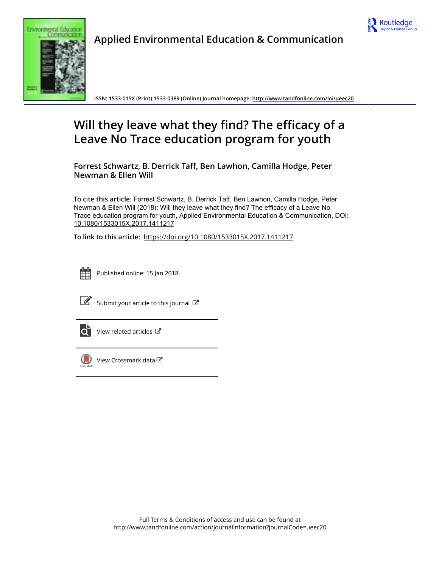



Applied Environmental Education & Communication

ISSN: 1533-015X (Print) 1533-0389 (Online) Journal homepage:<http://www.tandfonline.com/loi/ueec20>

# Will they leave what they find? The efficacy of a Leave No Trace education program for youth

Forrest Schwartz, B. Derrick Taff, Ben Lawhon, Camilla Hodge, Peter Newman & Ellen Will

To cite this article: Forrest Schwartz, B. Derrick Taff, Ben Lawhon, Camilla Hodge, Peter Newman & Ellen Will (2018): Will they leave what they find? The efficacy of a Leave No Trace education program for youth, Applied Environmental Education & Communication, DOI: [10.1080/1533015X.2017.1411217](http://www.tandfonline.com/action/showCitFormats?doi=10.1080/1533015X.2017.1411217)

To link to this article: <https://doi.org/10.1080/1533015X.2017.1411217>



Published online: 15 Jan 2018.



 $\overline{\mathscr{L}}$  [Submit your article to this journal](http://www.tandfonline.com/action/authorSubmission?journalCode=ueec20&show=instructions)  $\mathbb{F}$ 



[View related articles](http://www.tandfonline.com/doi/mlt/10.1080/1533015X.2017.1411217)  $\mathbb{Z}$ 



[View Crossmark data](http://crossmark.crossref.org/dialog/?doi=10.1080/1533015X.2017.1411217&domain=pdf&date_stamp=2018-01-15)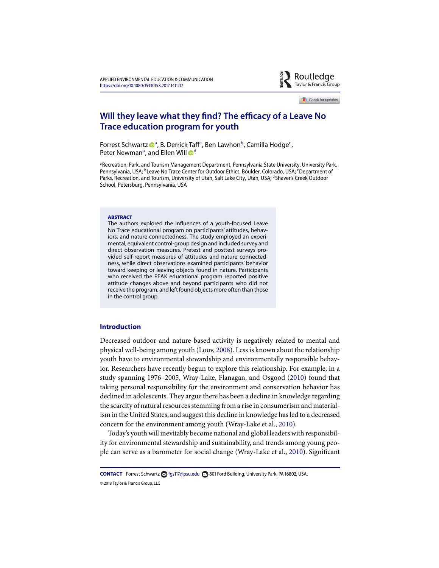

Check for updates

# **Will they leave what they find? The efficacy of a Leave No Trace education program for youth**

Forrest Schwartz <sup>oa</sup>, B. Derrick Taff<sup>a</sup>, Ben Lawhon<sup>b</sup>, Camilla Hodge<sup>c</sup>, Peter Newman<sup>a</sup>, and Ellen Will <sup>od</sup>

<sup>a</sup> Recreation, Park, and Tourism Management Department, Pennsylvania State University, University Park, Pennsylvania, USA; <sup>b</sup>Leave No Trace Center for Outdoor Ethics, Boulder, Colorado, USA; <sup>c</sup>Department of Parks, Recreation, and Tourism, University of Utah, Salt Lake City, Utah, USA; dShaver's Creek Outdoor School, Petersburg, Pennsylvania, USA

#### **ARSTRACT**

The authors explored the infuences of a youth-focused Leave No Trace educational program on participants' attitudes, behaviors, and nature connectedness. The study employed an experimental, equivalent control-group design and included survey and direct observation measures. Pretest and posttest surveys provided self-report measures of attitudes and nature connectedness, while direct observations examined participants' behavior toward keeping or leaving objects found in nature. Participants who received the PEAK educational program reported positive attitude changes above and beyond participants who did not receive the program, and left found objects more often than those in the control group.

# **Introduction**

Decreased outdoor and nature-based activity is negatively related to mental and physical well-being among youth (Louv, 2008). Less is known about the relationship youth have to environmental stewardship and environmentally responsible behavior. Researchers have recently begun to explore this relationship. For example, in a study spanning 1976–2005, Wray-Lake, Flanagan, and Osgood (2010) found that taking personal responsibility for the environment and conservation behavior has declined in adolescents. They argue there has been a decline in knowledge regarding the scarcity of natural resources stemming from a rise in consumerism and materialism in the United States, and suggest this decline in knowledge has led to a decreased concern for the environment among youth (Wray-Lake et al., 2010).

Today's youth will inevitably become national and global leaders with responsibility for environmental stewardship and sustainability, and trends among young people can serve as a barometer for social change (Wray-Lake et al., 2010). Signifcant

**CONTACT** Forrest Schwartz **fgs117[@psu.edu](mailto:fgs117@psu.edu) <b>E** 801 Ford Building, University Park, PA 16802, USA. © 2018 Taylor & Francis Group, LLC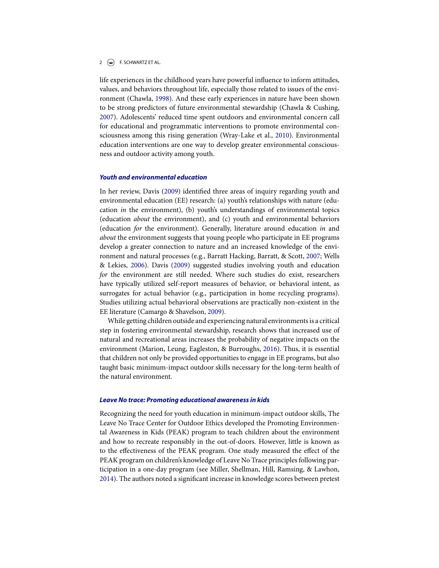# $2 \quad \Leftrightarrow$  F. SCHWARTZ ET AL.

life experiences in the childhood years have powerful infuence to inform attitudes, values, and behaviors throughout life, especially those related to issues of the environment (Chawla, 1998). And these early experiences in nature have been shown to be strong predictors of future environmental stewardship (Chawla & Cushing, 2007). Adolescents' reduced time spent outdoors and environmental concern call for educational and programmatic interventions to promote environmental consciousness among this rising generation (Wray-Lake et al., 2010). Environmental education interventions are one way to develop greater environmental consciousness and outdoor activity among youth.

# *Youth and environmental education*

In her review, Davis (2009) identifed three areas of inquiry regarding youth and environmental education (EE) research: (a) youth's relationships with nature (education *in* the environment), (b) youth's understandings of environmental topics (education *about* the environment), and (c) youth and environmental behaviors (education *for* the environment). Generally, literature around education *in* and *about* the environment suggests that young people who participate in EE programs develop a greater connection to nature and an increased knowledge of the environment and natural processes (e.g., Barratt Hacking, Barratt, & Scott, 2007; Wells & Lekies, 2006). Davis (2009) suggested studies involving youth and education *for* the environment are still needed. Where such studies do exist, researchers have typically utilized self-report measures of behavior, or behavioral intent, as surrogates for actual behavior (e.g., participation in home recycling programs). Studies utilizing actual behavioral observations are practically non-existent in the EE literature (Camargo & Shavelson, 2009).

While getting children outside and experiencing natural environments is a critical step in fostering environmental stewardship, research shows that increased use of natural and recreational areas increases the probability of negative impacts on the environment (Marion, Leung, Eagleston, & Burroughs, 2016). Thus, it is essential that children not only be provided opportunities to engage in EE programs, but also taught basic minimum-impact outdoor skills necessary for the long-term health of the natural environment.

#### *Leave No trace: Promoting educational awareness in kids*

Recognizing the need for youth education in minimum-impact outdoor skills, The Leave No Trace Center for Outdoor Ethics developed the Promoting Environmental Awareness in Kids (PEAK) program to teach children about the environment and how to recreate responsibly in the out-of-doors. However, little is known as to the efectiveness of the PEAK program. One study measured the efect of the PEAK program on children's knowledge of Leave No Trace principles following participation in a one-day program (see Miller, Shellman, Hill, Ramsing, & Lawhon, 2014). The authors noted a signifcant increase in knowledge scores between pretest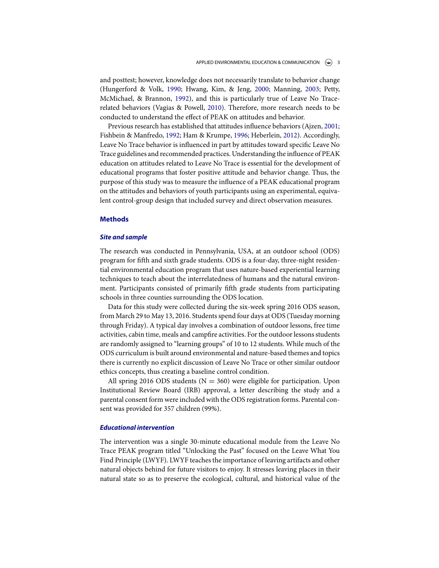and posttest; however, knowledge does not necessarily translate to behavior change (Hungerford & Volk, 1990; Hwang, Kim, & Jeng, 2000; Manning, 2003; Petty, McMichael, & Brannon, 1992), and this is particularly true of Leave No Tracerelated behaviors (Vagias & Powell, 2010). Therefore, more research needs to be conducted to understand the efect of PEAK on attitudes and behavior.

Previous research has established that attitudes infuence behaviors (Ajzen, 2001; Fishbein & Manfredo, 1992; Ham & Krumpe, 1996; Heberlein, 2012). Accordingly, Leave No Trace behavior is infuenced in part by attitudes toward specifc Leave No Trace guidelines and recommended practices. Understanding the infuence of PEAK education on attitudes related to Leave No Trace is essential for the development of educational programs that foster positive attitude and behavior change. Thus, the purpose of this study was to measure the infuence of a PEAK educational program on the attitudes and behaviors of youth participants using an experimental, equivalent control-group design that included survey and direct observation measures.

# **Methods**

# *Site and sample*

The research was conducted in Pennsylvania, USA, at an outdoor school (ODS) program for ffth and sixth grade students. ODS is a four-day, three-night residential environmental education program that uses nature-based experiential learning techniques to teach about the interrelatedness of humans and the natural environment. Participants consisted of primarily ffth grade students from participating schools in three counties surrounding the ODS location.

Data for this study were collected during the six-week spring 2016 ODS season, from March 29 to May 13, 2016. Students spend four days at ODS (Tuesday morning through Friday). A typical day involves a combination of outdoor lessons, free time activities, cabin time, meals and campfre activities. For the outdoor lessons students are randomly assigned to "learning groups" of 10 to 12 students. While much of the ODS curriculum is built around environmental and nature-based themes and topics there is currently no explicit discussion of Leave No Trace or other similar outdoor ethics concepts, thus creating a baseline control condition.

All spring 2016 ODS students ( $N = 360$ ) were eligible for participation. Upon Institutional Review Board (IRB) approval, a letter describing the study and a parental consent form were included with the ODS registration forms. Parental consent was provided for 357 children (99%).

# *Educational intervention*

The intervention was a single 30-minute educational module from the Leave No Trace PEAK program titled "Unlocking the Past" focused on the Leave What You Find Principle (LWYF). LWYF teaches the importance of leaving artifacts and other natural objects behind for future visitors to enjoy. It stresses leaving places in their natural state so as to preserve the ecological, cultural, and historical value of the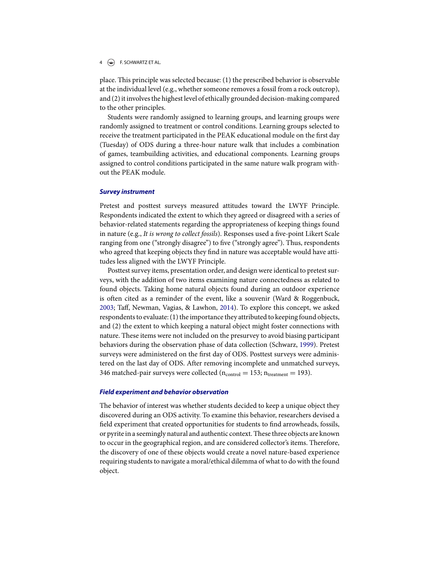# 4 **(C)** F. SCHWARTZ ET AL.

place. This principle was selected because: (1) the prescribed behavior is observable at the individual level (e.g., whether someone removes a fossil from a rock outcrop), and (2) it involves the highest level of ethically grounded decision-making compared to the other principles.

Students were randomly assigned to learning groups, and learning groups were randomly assigned to treatment or control conditions. Learning groups selected to receive the treatment participated in the PEAK educational module on the frst day (Tuesday) of ODS during a three-hour nature walk that includes a combination of games, teambuilding activities, and educational components. Learning groups assigned to control conditions participated in the same nature walk program without the PEAK module.

# *Survey instrument*

Pretest and posttest surveys measured attitudes toward the LWYF Principle. Respondents indicated the extent to which they agreed or disagreed with a series of behavior-related statements regarding the appropriateness of keeping things found in nature (e.g., *It is wrong to collect fossils*). Responses used a fve-point Likert Scale ranging from one ("strongly disagree") to five ("strongly agree"). Thus, respondents who agreed that keeping objects they fnd in nature was acceptable would have attitudes less aligned with the LWYF Principle.

Posttest survey items, presentation order, and design were identical to pretest surveys, with the addition of two items examining nature connectedness as related to found objects. Taking home natural objects found during an outdoor experience is often cited as a reminder of the event, like a souvenir (Ward & Roggenbuck, 2003; Taf, Newman, Vagias, & Lawhon, 2014). To explore this concept, we asked respondents to evaluate: (1) the importance they attributed to keeping found objects, and (2) the extent to which keeping a natural object might foster connections with nature. These items were not included on the presurvey to avoid biasing participant behaviors during the observation phase of data collection (Schwarz, 1999). Pretest surveys were administered on the frst day of ODS. Posttest surveys were administered on the last day of ODS. After removing incomplete and unmatched surveys, 346 matched-pair surveys were collected ( $n_{control} = 153$ ;  $n_{treatment} = 193$ ).

#### *Field experiment and behavior observation*

The behavior of interest was whether students decided to keep a unique object they discovered during an ODS activity. To examine this behavior, researchers devised a feld experiment that created opportunities for students to fnd arrowheads, fossils, or pyrite in a seemingly natural and authentic context. These three objects are known to occur in the geographical region, and are considered collector's items. Therefore, the discovery of one of these objects would create a novel nature-based experience requiring students to navigate a moral/ethical dilemma of what to do with the found object.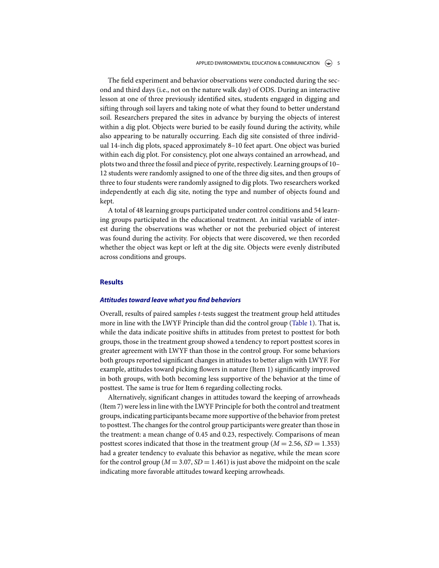#### APPLIED ENVIRONMENTAL EDUCATION & COMMUNICATION  $\left(\bigcirc\right)$  5

The feld experiment and behavior observations were conducted during the second and third days (i.e., not on the nature walk day) of ODS. During an interactive lesson at one of three previously identifed sites, students engaged in digging and sifting through soil layers and taking note of what they found to better understand soil. Researchers prepared the sites in advance by burying the objects of interest within a dig plot. Objects were buried to be easily found during the activity, while also appearing to be naturally occurring. Each dig site consisted of three individual 14-inch dig plots, spaced approximately 8–10 feet apart. One object was buried within each dig plot. For consistency, plot one always contained an arrowhead, and plots two and three the fossil and piece of pyrite, respectively. Learning groups of 10– 12 students were randomly assigned to one of the three dig sites, and then groups of three to four students were randomly assigned to dig plots. Two researchers worked independently at each dig site, noting the type and number of objects found and kept.

A total of 48 learning groups participated under control conditions and 54 learning groups participated in the educational treatment. An initial variable of interest during the observations was whether or not the preburied object of interest was found during the activity. For objects that were discovered, we then recorded whether the object was kept or left at the dig site. Objects were evenly distributed across conditions and groups.

# **Results**

# *Attitudes toward leave what you* **f***nd behaviors*

Overall, results of paired samples *t*-tests suggest the treatment group held attitudes more in line with the LWYF Principle than did the control group (Table 1). That is, while the data indicate positive shifts in attitudes from pretest to posttest for both groups, those in the treatment group showed a tendency to report posttest scores in greater agreement with LWYF than those in the control group. For some behaviors both groups reported signifcant changes in attitudes to better align with LWYF. For example, attitudes toward picking flowers in nature (Item 1) significantly improved in both groups, with both becoming less supportive of the behavior at the time of posttest. The same is true for Item 6 regarding collecting rocks.

Alternatively, signifcant changes in attitudes toward the keeping of arrowheads (Item 7) were less in line with the LWYF Principle for both the control and treatment groups, indicating participants became more supportive of the behavior from pretest to posttest. The changes for the control group participants were greater than those in the treatment: a mean change of 0.45 and 0.23, respectively. Comparisons of mean posttest scores indicated that those in the treatment group ( $M = 2.56$ ,  $SD = 1.353$ ) had a greater tendency to evaluate this behavior as negative, while the mean score for the control group ( $M = 3.07$ ,  $SD = 1.461$ ) is just above the midpoint on the scale indicating more favorable attitudes toward keeping arrowheads.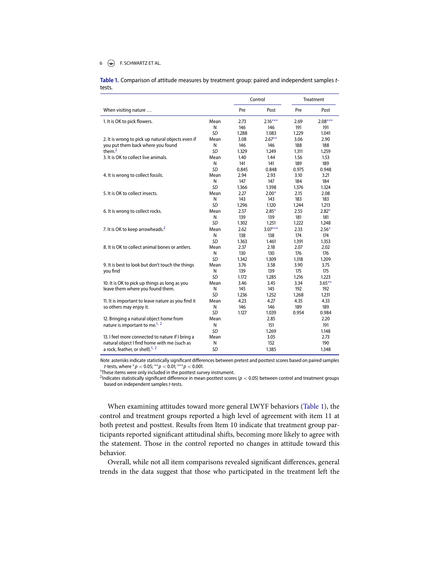#### 6  $\leftarrow$  F. SCHWARTZ ET AL.

**Table .** Comparison of attitude measures by treatment group: paired and independent samples *t*tests.

|                                                    |           |       | Control   | Treatment |           |
|----------------------------------------------------|-----------|-------|-----------|-----------|-----------|
| When visiting nature                               |           | Pre   | Post      | Pre       | Post      |
| 1. It is OK to pick flowers.                       | Mean      | 2.73  | $2.16***$ | 2.69      | $2.08***$ |
|                                                    | N         | 146   | 146       | 191       | 191       |
|                                                    | SD        | 1.288 | 1.083     | 1.229     | 1.041     |
| 2. It is wrong to pick up natural objects even if  | Mean      | 3.08  | $2.67***$ | 3.06      | 2.90      |
| you put them back where you found                  | N         | 146   | 146       | 188       | 188       |
| them. $2$                                          | SD        | 1.329 | 1.249     | 1.311     | 1.259     |
| 3. It is OK to collect live animals.               | Mean      | 1.40  | 1.44      | 1.56      | 1.53      |
|                                                    | N         | 141   | 141       | 189       | 189       |
|                                                    | SD        | 0.845 | 0.848     | 0.975     | 0.948     |
| 4. It is wrong to collect fossils.                 | Mean      | 2.94  | 2.93      | 3.10      | 3.21      |
|                                                    | N         | 147   | 147       | 184       | 184       |
|                                                    | SD        | 1.366 | 1.398     | 1.376     | 1.324     |
| 5. It is OK to collect insects.                    | Mean      | 2.27  | $2.00*$   | 2.15      | 2.08      |
|                                                    | N         | 143   | 143       | 183       | 183       |
|                                                    | SD        | 1.296 | 1.120     | 1.244     | 1.213     |
| 6. It is wrong to collect rocks.                   | Mean      | 2.57  | $2.85*$   | 2.55      | $2.82*$   |
|                                                    | N         | 139   | 139       | 181       | 181       |
|                                                    | SD        | 1.302 | 1.251     | 1.222     | 1.248     |
| 7. It is OK to keep arrowheads. <sup>2</sup>       | Mean      | 2.62  | $3.07***$ | 2.33      | $2.56*$   |
|                                                    | N         | 138   | 138       | 174       | 174       |
|                                                    | SD        | 1.363 | 1.461     | 1.391     | 1.353     |
| 8. It is OK to collect animal bones or antlers.    | Mean      | 2.37  | 2.18      | 2.07      | 2.02      |
|                                                    | N         | 130   | 130       | 176       | 176       |
|                                                    | <b>SD</b> | 1.342 | 1.309     | 1.318     | 1.209     |
| 9. It is best to look but don't touch the things   | Mean      | 3.76  | 3.58      | 3.90      | 3.75      |
| you find                                           | N         | 139   | 139       | 175       | 175       |
|                                                    | SD        | 1.172 | 1.285     | 1.216     | 1.223     |
| 10. It is OK to pick up things as long as you      | Mean      | 3.46  | 3.45      | 3.34      | $3.65***$ |
| leave them where you found them.                   | N         | 145   | 145       | 192       | 192       |
|                                                    | SD        | 1.236 | 1.252     | 1.268     | 1.231     |
| 11. It is important to leave nature as you find it | Mean      | 4.23  | 4.27      | 4.35      | 4.33      |
| so others may enjoy it.                            | Ν         | 146   | 146       | 189       | 189       |
|                                                    | SD        | 1.127 | 1.039     | 0.954     | 0.984     |
| 12. Bringing a natural object home from            | Mean      |       | 2.85      |           | 2.20      |
| nature is important to me. <sup>1, 2</sup>         | N         |       | 151       |           | 191       |
|                                                    | SD        |       | 1.269     |           | 1.148     |
| 13. I feel more connected to nature if I bring a   | Mean      |       | 3.05      |           | 2.73      |
| natural object I find home with me (such as        | N         |       | 152       |           | 190       |
| a rock, feather, or shell). <sup>1, 2</sup>        | <b>SD</b> |       | 1.385     |           | 1.348     |

*Note*. asterisks indicate statistically significant differences between pretest and posttest scores based on paired samples *t*-tests, where \* $p < 0.05$ ; \*\* $p < 0.01$ ; \*\*\* $p < 0.001$ .<br><sup>1</sup>These items were only included in the posttest sur

<sup>1</sup>These items were only included in the posttest survey instrument.

<sup>2</sup>Indicates statistically significant difference in mean posttest scores (*p* < 0.05) between control and treatment groups based on independent samples *t-*tests.

When examining attitudes toward more general LWYF behaviors (Table 1), the control and treatment groups reported a high level of agreement with item 11 at both pretest and posttest. Results from Item 10 indicate that treatment group participants reported signifcant attitudinal shifts, becoming more likely to agree with the statement. Those in the control reported no changes in attitude toward this behavior.

Overall, while not all item comparisons revealed signifcant diferences, general trends in the data suggest that those who participated in the treatment left the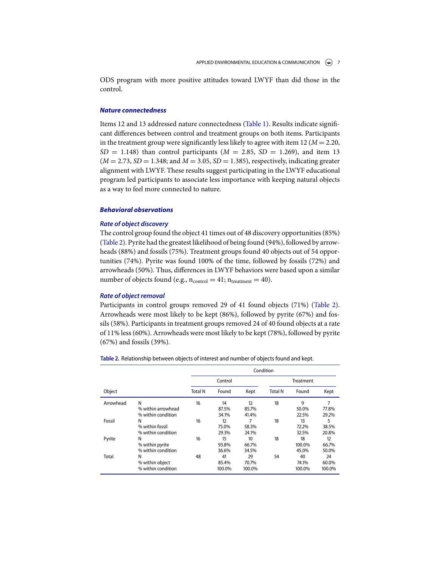ODS program with more positive attitudes toward LWYF than did those in the control.

# *Nature connectedness*

Items 12 and 13 addressed nature connectedness (Table 1). Results indicate signifcant diferences between control and treatment groups on both items. Participants in the treatment group were significantly less likely to agree with item 12 ( $M = 2.20$ ,  $SD = 1.148$ ) than control participants ( $M = 2.85$ ,  $SD = 1.269$ ), and item 13  $(M = 2.73, SD = 1.348$ ; and  $M = 3.05, SD = 1.385$ ), respectively, indicating greater alignment with LWYF. These results suggest participating in the LWYF educational program led participants to associate less importance with keeping natural objects as a way to feel more connected to nature.

# *Behavioral observations*

# *Rate of object discovery*

The control group found the object 41 times out of 48 discovery opportunities (85%) (Table 2). Pyrite had the greatest likelihood of being found (94%), followed by arrowheads (88%) and fossils (75%). Treatment groups found 40 objects out of 54 opportunities (74%). Pyrite was found 100% of the time, followed by fossils (72%) and arrowheads (50%). Thus, diferences in LWYF behaviors were based upon a similar number of objects found (e.g.,  $n_{control} = 41$ ;  $n_{treatment} = 40$ ).

# *Rate of object removal*

Participants in control groups removed 29 of 41 found objects (71%) (Table 2). Arrowheads were most likely to be kept (86%), followed by pyrite (67%) and fossils (58%). Participants in treatment groups removed 24 of 40 found objects at a rate of 11% less (60%). Arrowheads were most likely to be kept (78%), followed by pyrite (67%) and fossils (39%).

| Table 2. Relationship between objects of interest and number of objects found and kept. |  |
|-----------------------------------------------------------------------------------------|--|
|                                                                                         |  |

|           |                                               | Condition      |                               |                              |                |                               |                              |  |  |
|-----------|-----------------------------------------------|----------------|-------------------------------|------------------------------|----------------|-------------------------------|------------------------------|--|--|
|           |                                               | Control        |                               |                              | Treatment      |                               |                              |  |  |
| Object    |                                               | <b>Total N</b> | Found                         | Kept                         | <b>Total N</b> | Found                         | Kept                         |  |  |
| Arrowhead | N<br>% within arrowhead<br>% within condition | 16             | 14<br>87.5%                   | 12<br>85.7%                  | 18             | 9<br>50.0%                    | 7<br>77.8%                   |  |  |
| Fossil    | N<br>% within fossil<br>% within condition    | 16             | 34.1%<br>12<br>75.0%<br>29.3% | 41.4%<br>7<br>58.3%<br>24.1% | 18             | 22.5%<br>13<br>72.2%<br>32.5% | 29.2%<br>5<br>38.5%<br>20.8% |  |  |
| Pyrite    | N<br>% within pyrite<br>% within condition    | 16             | 15<br>93.8%<br>36.6%          | 10<br>66.7%<br>34.5%         | 18             | 18<br>100.0%<br>45.0%         | 12<br>66.7%<br>50.0%         |  |  |
| Total     | N<br>% within object<br>% within condition    | 48             | 41<br>85.4%<br>100.0%         | 29<br>70.7%<br>100.0%        | 54             | 40<br>74.1%<br>100.0%         | 24<br>60.0%<br>100.0%        |  |  |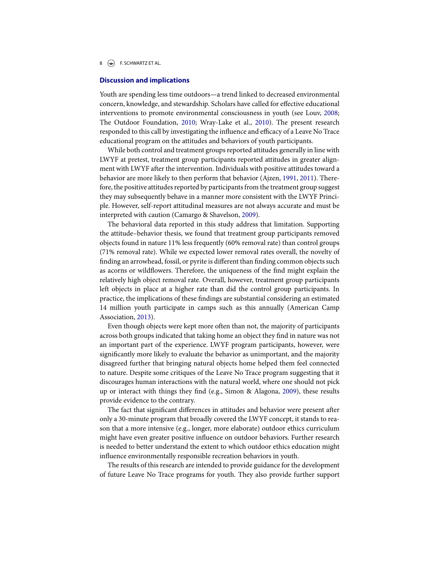8  $\left(\bigcirc\right)$  F. SCHWARTZ ET AL.

#### **Discussion and implications**

Youth are spending less time outdoors—a trend linked to decreased environmental concern, knowledge, and stewardship. Scholars have called for efective educational interventions to promote environmental consciousness in youth (see Louv, 2008; The Outdoor Foundation, 2010; Wray-Lake et al., 2010). The present research responded to this call by investigating the influence and efficacy of a Leave No Trace educational program on the attitudes and behaviors of youth participants.

While both control and treatment groups reported attitudes generally in line with LWYF at pretest, treatment group participants reported attitudes in greater alignment with LWYF after the intervention. Individuals with positive attitudes toward a behavior are more likely to then perform that behavior (Ajzen, 1991, 2011). Therefore, the positive attitudes reported by participants from the treatment group suggest they may subsequently behave in a manner more consistent with the LWYF Principle. However, self-report attitudinal measures are not always accurate and must be interpreted with caution (Camargo & Shavelson, 2009).

The behavioral data reported in this study address that limitation. Supporting the attitude–behavior thesis, we found that treatment group participants removed objects found in nature 11% less frequently (60% removal rate) than control groups (71% removal rate). While we expected lower removal rates overall, the novelty of fnding an arrowhead, fossil, or pyrite is diferent than fnding common objects such as acorns or wildfowers. Therefore, the uniqueness of the fnd might explain the relatively high object removal rate. Overall, however, treatment group participants left objects in place at a higher rate than did the control group participants. In practice, the implications of these fndings are substantial considering an estimated 14 million youth participate in camps such as this annually (American Camp Association, 2013).

Even though objects were kept more often than not, the majority of participants across both groups indicated that taking home an object they fnd in nature was not an important part of the experience. LWYF program participants, however, were signifcantly more likely to evaluate the behavior as unimportant, and the majority disagreed further that bringing natural objects home helped them feel connected to nature. Despite some critiques of the Leave No Trace program suggesting that it discourages human interactions with the natural world, where one should not pick up or interact with things they fnd (e.g., Simon & Alagona, 2009), these results provide evidence to the contrary.

The fact that signifcant diferences in attitudes and behavior were present after only a 30-minute program that broadly covered the LWYF concept, it stands to reason that a more intensive (e.g., longer, more elaborate) outdoor ethics curriculum might have even greater positive infuence on outdoor behaviors. Further research is needed to better understand the extent to which outdoor ethics education might infuence environmentally responsible recreation behaviors in youth.

The results of this research are intended to provide guidance for the development of future Leave No Trace programs for youth. They also provide further support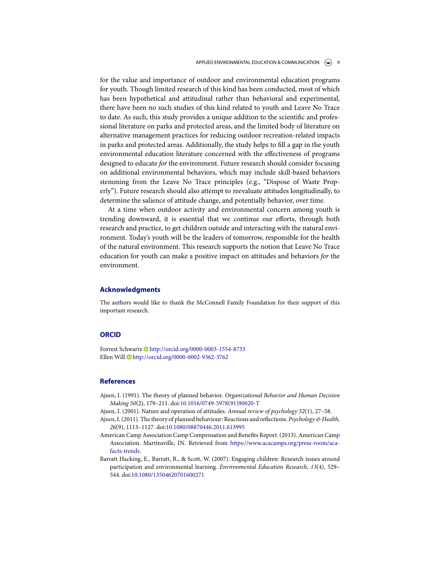#### APPLIED ENVIRONMENTAL EDUCATION & COMMUNICATION  $\left(\begin{matrix} \curvearrowleft \end{matrix}\right)$  9

for the value and importance of outdoor and environmental education programs for youth. Though limited research of this kind has been conducted, most of which has been hypothetical and attitudinal rather than behavioral and experimental, there have been no such studies of this kind related to youth and Leave No Trace to date. As such, this study provides a unique addition to the scientifc and professional literature on parks and protected areas, and the limited body of literature on alternative management practices for reducing outdoor recreation-related impacts in parks and protected areas. Additionally, the study helps to fll a gap in the youth environmental education literature concerned with the efectiveness of programs designed to educate *for* the environment. Future research should consider focusing on additional environmental behaviors, which may include skill-based behaviors stemming from the Leave No Trace principles (e.g., "Dispose of Waste Properly"). Future research should also attempt to reevaluate attitudes longitudinally, to determine the salience of attitude change, and potentially behavior, over time.

At a time when outdoor activity and environmental concern among youth is trending downward, it is essential that we continue our eforts, through both research and practice, to get children outside and interacting with the natural environment. Today's youth will be the leaders of tomorrow, responsible for the health of the natural environment. This research supports the notion that Leave No Trace education for youth can make a positive impact on attitudes and behaviors *for* the environment.

# **Acknowledgments**

The authors would like to thank the McConnell Family Foundation for their support of this important research.

#### **ORCID**

Forrest Schwartz D<http://orcid.org/0000-0003-1554-8733> Ellen Will <http://orcid.org/0000-0002-9362-3762>

# **References**

- Ajzen, I. (1991). The theory of planned behavior. *Organizational Behavior and Human Decision Making 50*(2), 179–211. doi[:10.1016/0749-5978\(91\)90020-T](https://doi.org/10.1016/0749-5978(91)90020-T)
- Ajzen, I. (2001). Nature and operation of attitudes. *Annual review of psychology 52*(1), 27–58.
- Ajzen, I. (2011). The theory of planned behaviour: Reactions and refections. *Psychology & Health, 26*(9), 1113–1127. doi[:10.1080/08870446.2011.613995](https://doi.org/10.1080/08870446.2011.613995)
- American Camp Association Camp Compensation and Benefts Report. (2013). American Camp [Association. Martinsville, IN. Retrieved from](https://www.acacamps.org/press-room/aca-facts-trends) https://www.acacamps.org/press-room/acafacts-trends.
- Barratt Hacking, E., Barratt, R., & Scott, W. (2007). Engaging children: Research issues around participation and environmental learning. *Environmental Education Research, 13*(4), 529– 544. doi[:10.1080/13504620701600271](https://doi.org/10.1080/13504620701600271)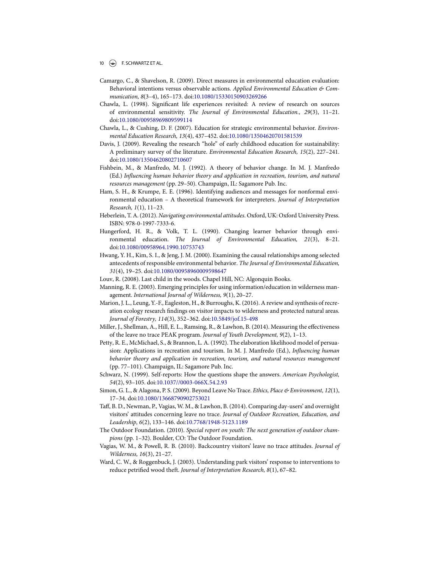- Camargo, C., & Shavelson, R. (2009). Direct measures in environmental education evaluation: Behavioral intentions versus observable actions. *Applied Environmental Education & Communication, 8*(3–4), 165–173. doi[:10.1080/15330150903269266](https://doi.org/10.1080/15330150903269266)
- Chawla, L. (1998). Signifcant life experiences revisited: A review of research on sources of environmental sensitivity. *The Journal of Environmental Education., 29*(3), 11–21. doi[:10.1080/00958969809599114](https://doi.org/10.1080/00958969809599114)
- Chawla, L., & Cushing, D. F. (2007). Education for strategic environmental behavior. *Environmental Education Research, 13*(4), 437–452. doi[:10.1080/13504620701581539](https://doi.org/10.1080/13504620701581539)
- Davis, J. (2009). Revealing the research "hole" of early childhood education for sustainability: A preliminary survey of the literature. *Environmental Education Research, 15*(2), 227–241. doi[:10.1080/13504620802710607](https://doi.org/10.1080/13504620802710607)
- Fishbein, M., & Manfredo, M. J. (1992). A theory of behavior change. In M. J. Manfredo (Ed.) *In*f*uencing human behavior theory and application in recreation, tourism, and natural resources management* (pp. 29–50). Champaign, IL: Sagamore Pub. Inc.
- Ham, S. H., & Krumpe, E. E. (1996). Identifying audiences and messages for nonformal environmental education – A theoretical framework for interpreters. *Journal of Interpretation Research, 1*(1), 11–23.
- Heberlein, T. A. (2012). *Navigating environmental attitudes*. Oxford, UK: Oxford University Press. ISBN: 978-0-1997-7333-6.
- Hungerford, H. R., & Volk, T. L. (1990). Changing learner behavior through environmental education. *The Journal of Environmental Education, 21*(3), 8–21. doi[:10.1080/00958964.1990.10753743](https://doi.org/10.1080/00958964.1990.10753743)
- Hwang, Y. H., Kim, S. I., & Jeng, J. M. (2000). Examining the causal relationships among selected antecedents of responsible environmental behavior. *The Journal of Environmental Education, 31*(4), 19–25. doi[:10.1080/00958960009598647](https://doi.org/10.1080/00958960009598647)
- Louv, R. (2008). Last child in the woods. Chapel Hill, NC: Algonquin Books.
- Manning, R. E. (2003). Emerging principles for using information/education in wilderness management. *International Journal of Wilderness, 9*(1), 20–27.
- Marion, J. L., Leung, Y.-F., Eagleston, H., & Burroughs, K. (2016). A review and synthesis of recreation ecology research fndings on visitor impacts to wilderness and protected natural areas. *Journal of Forestry, 114*(3), 352–362. doi[:10.5849/jof.15-498](https://doi.org/10.5849/jof.15-498)
- Miller, J., Shellman, A., Hill, E. L., Ramsing, R., & Lawhon, B. (2014). Measuring the efectiveness of the leave no trace PEAK program. *Journal of Youth Development, 9*(2), 1–13.
- Petty, R. E., McMichael, S., & Brannon, L. A. (1992). The elaboration likelihood model of persuasion: Applications in recreation and tourism. In M. J. Manfredo (Ed.), *In*f*uencing human behavior theory and application in recreation, tourism, and natural resources management* (pp. 77–101). Champaign, IL: Sagamore Pub. Inc.
- Schwarz, N. (1999). Self-reports: How the questions shape the answers. *American Psychologist, 54*(2), 93–105. doi[:10.1037//0003-066X.54.2.93](https://doi.org/10.1037//0003-066X.54.2.93)
- Simon, G. L., & Alagona, P. S. (2009). Beyond Leave No Trace. *Ethics, Place & Environment, 12*(1), 17–34. doi[:10.1080/13668790902753021](https://doi.org/10.1080/13668790902753021)
- Taff, B. D., Newman, P., Vagias, W. M., & Lawhon, B. (2014). Comparing day-users' and overnight visitors' attitudes concerning leave no trace. *Journal of Outdoor Recreation, Education, and Leadership, 6*(2), 133–146. doi[:10.7768/1948-5123.1189](https://doi.org/10.7768/1948-5123.1189)
- The Outdoor Foundation. (2010). *Special report on youth: The next generation of outdoor champions* (pp. 1–32). Boulder, CO: The Outdoor Foundation.
- Vagias, W. M., & Powell, R. B. (2010). Backcountry visitors' leave no trace attitudes. *Journal of Wilderness, 16*(3), 21–27.
- Ward, C. W., & Roggenbuck, J. (2003). Understanding park visitors' response to interventions to reduce petrifed wood theft. *Journal of Interpretation Research, 8*(1), 67–82.

<sup>10</sup> F. SCHWARTZ ET AL.